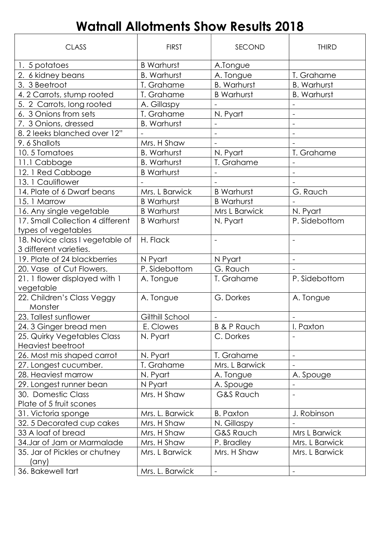## Watnall Allotments Show Results 2018

| <b>CLASS</b>                               | <b>FIRST</b>       | SECOND                   | <b>THIRD</b>             |
|--------------------------------------------|--------------------|--------------------------|--------------------------|
| 1. 5 potatoes                              | <b>B</b> Warhurst  | A.Tongue                 |                          |
| 2. 6 kidney beans                          | <b>B.</b> Warhurst | A. Tongue                | T. Grahame               |
| 3. 3 Beetroot                              | T. Grahame         | <b>B. Warhurst</b>       | <b>B.</b> Warhurst       |
| 4.2 Carrots, stump rooted                  | T. Grahame         | <b>B</b> Warhurst        | <b>B. Warhurst</b>       |
| 5. 2 Carrots, long rooted                  | A. Gillaspy        |                          |                          |
| 6. 3 Onions from sets                      | T. Grahame         | N. Pyart                 |                          |
| 7. 3 Onions, dressed                       | <b>B.</b> Warhurst |                          | $\overline{\phantom{a}}$ |
| 8. 2 leeks blanched over 12"               |                    |                          |                          |
| 9.6 Shallots                               | Mrs. H Shaw        | $\overline{\phantom{a}}$ |                          |
| 10.5 Tomatoes                              | <b>B.</b> Warhurst | N. Pyart                 | T. Grahame               |
| 11.1 Cabbage                               | <b>B.</b> Warhurst | T. Grahame               |                          |
| 12. 1 Red Cabbage                          | <b>B</b> Warhurst  |                          |                          |
| 13. 1 Cauliflower                          |                    |                          |                          |
| 14. Plate of 6 Dwarf beans                 | Mrs. L Barwick     | <b>B</b> Warhurst        | G. Rauch                 |
| 15.1 Marrow                                | <b>B</b> Warhurst  | <b>B</b> Warhurst        |                          |
| 16. Any single vegetable                   | <b>B</b> Warhurst  | Mrs L Barwick            | N. Pyart                 |
| 17. Small Collection 4 different           | <b>B</b> Warhurst  | N. Pyart                 | P. Sidebottom            |
| types of vegetables                        |                    |                          |                          |
| 18. Novice class I vegetable of            | H. Flack           | $\overline{\phantom{a}}$ | $\overline{\phantom{a}}$ |
| 3 different varieties.                     |                    |                          |                          |
| 19. Plate of 24 blackberries               | N Pyart            | N Pyart                  | $\overline{\phantom{a}}$ |
| 20. Vase of Cut Flowers.                   | P. Sidebottom      | G. Rauch                 |                          |
| 21. 1 flower displayed with 1<br>vegetable | A. Tongue          | T. Grahame               | P. Sidebottom            |
| 22. Children's Class Veggy                 | A. Tongue          | G. Dorkes                | A. Tongue                |
| Monster                                    |                    |                          |                          |
| 23. Tallest sunflower                      | Gilthill School    | $\overline{\phantom{a}}$ |                          |
| 24. 3 Ginger bread men                     | E. Clowes          | <b>B &amp; P Rauch</b>   | I. Paxton                |
| 25. Quirky Vegetables Class                | N. Pyart           | C. Dorkes                |                          |
| Heaviest beetroot                          |                    |                          |                          |
| 26. Most mis shaped carrot                 | N. Pyart           | T. Grahame               | $\overline{\phantom{a}}$ |
| 27. Longest cucumber.                      | T. Grahame         | Mrs. L Barwick           |                          |
| 28. Heaviest marrow                        | N. Pyart           | A. Tongue                | A. Spouge                |
| 29. Longest runner bean                    | N Pyart            | A. Spouge                |                          |
| 30. Domestic Class                         | Mrs. H Shaw        | <b>G&amp;S Rauch</b>     |                          |
| Plate of 5 fruit scones                    |                    |                          |                          |
| 31. Victoria sponge                        | Mrs. L. Barwick    | <b>B. Paxton</b>         | J. Robinson              |
| 32.5 Decorated cup cakes                   | Mrs. H Shaw        | N. Gillaspy              |                          |
| 33 A loaf of bread                         | Mrs. H Shaw        | G&S Rauch                | Mrs L Barwick            |
| 34.Jar of Jam or Marmalade                 | Mrs. H Shaw        | P. Bradley               | Mrs. L Barwick           |
| 35. Jar of Pickles or chutney              | Mrs. L Barwick     | Mrs. H Shaw              | Mrs. L Barwick           |
| (any)                                      |                    |                          |                          |
| 36. Bakewell tart                          | Mrs. L. Barwick    | $\overline{\phantom{a}}$ |                          |